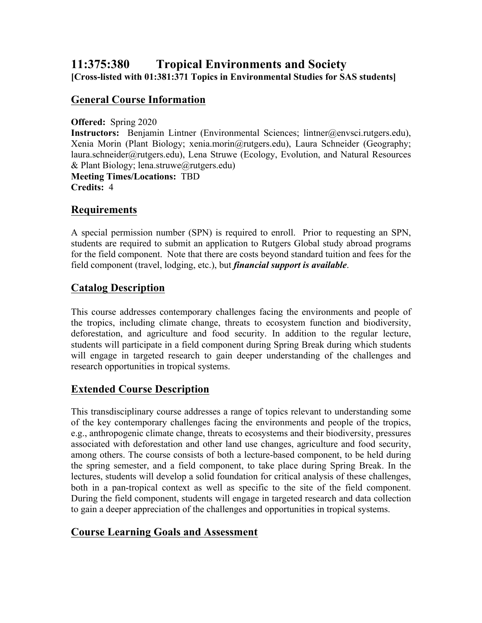# **11:375:380 Tropical Environments and Society [Cross-listed with 01:381:371 Topics in Environmental Studies for SAS students]**

### **General Course Information**

#### **Offered:** Spring 2020

**Instructors:** Benjamin Lintner (Environmental Sciences; lintner@envsci.rutgers.edu), Xenia Morin (Plant Biology; xenia.morin@rutgers.edu), Laura Schneider (Geography; laura.schneider@rutgers.edu), Lena Struwe (Ecology, Evolution, and Natural Resources  $&$  Plant Biology; lena.struwe@rutgers.edu) **Meeting Times/Locations:** TBD

**Credits:** 4

#### **Requirements**

A special permission number (SPN) is required to enroll. Prior to requesting an SPN, students are required to submit an application to Rutgers Global study abroad programs for the field component. Note that there are costs beyond standard tuition and fees for the field component (travel, lodging, etc.), but *financial support is available*.

### **Catalog Description**

This course addresses contemporary challenges facing the environments and people of the tropics, including climate change, threats to ecosystem function and biodiversity, deforestation, and agriculture and food security. In addition to the regular lecture, students will participate in a field component during Spring Break during which students will engage in targeted research to gain deeper understanding of the challenges and research opportunities in tropical systems.

## **Extended Course Description**

This transdisciplinary course addresses a range of topics relevant to understanding some of the key contemporary challenges facing the environments and people of the tropics, e.g., anthropogenic climate change, threats to ecosystems and their biodiversity, pressures associated with deforestation and other land use changes, agriculture and food security, among others. The course consists of both a lecture-based component, to be held during the spring semester, and a field component, to take place during Spring Break. In the lectures, students will develop a solid foundation for critical analysis of these challenges, both in a pan-tropical context as well as specific to the site of the field component. During the field component, students will engage in targeted research and data collection to gain a deeper appreciation of the challenges and opportunities in tropical systems.

## **Course Learning Goals and Assessment**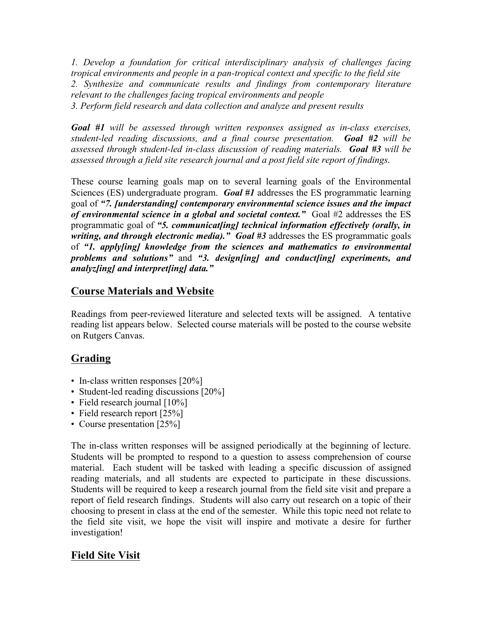*1. Develop a foundation for critical interdisciplinary analysis of challenges facing tropical environments and people in a pan-tropical context and specific to the field site 2. Synthesize and communicate results and findings from contemporary literature relevant to the challenges facing tropical environments and people 3. Perform field research and data collection and analyze and present results*

*Goal #1 will be assessed through written responses assigned as in-class exercises, student-led reading discussions, and a final course presentation. Goal #2 will be assessed through student-led in-class discussion of reading materials. Goal #3 will be assessed through a field site research journal and a post field site report of findings.*

These course learning goals map on to several learning goals of the Environmental Sciences (ES) undergraduate program. *Goal #1* addresses the ES programmatic learning goal of *"7. [understanding] contemporary environmental science issues and the impact of environmental science in a global and societal context."* Goal #2 addresses the ES programmatic goal of *"5. communicat[ing] technical information effectively (orally, in writing, and through electronic media)." Goal #3* addresses the ES programmatic goals of *"1. apply[ing] knowledge from the sciences and mathematics to environmental problems and solutions"* and *"3. design[ing] and conduct[ing] experiments, and analyz[ing] and interpret[ing] data."*

## **Course Materials and Website**

Readings from peer-reviewed literature and selected texts will be assigned. A tentative reading list appears below. Selected course materials will be posted to the course website on Rutgers Canvas.

# **Grading**

- In-class written responses [20%]
- Student-led reading discussions [20%]
- Field research journal [10%]
- Field research report [25%]
- Course presentation [25%]

The in-class written responses will be assigned periodically at the beginning of lecture. Students will be prompted to respond to a question to assess comprehension of course material. Each student will be tasked with leading a specific discussion of assigned reading materials, and all students are expected to participate in these discussions. Students will be required to keep a research journal from the field site visit and prepare a report of field research findings. Students will also carry out research on a topic of their choosing to present in class at the end of the semester. While this topic need not relate to the field site visit, we hope the visit will inspire and motivate a desire for further investigation!

# **Field Site Visit**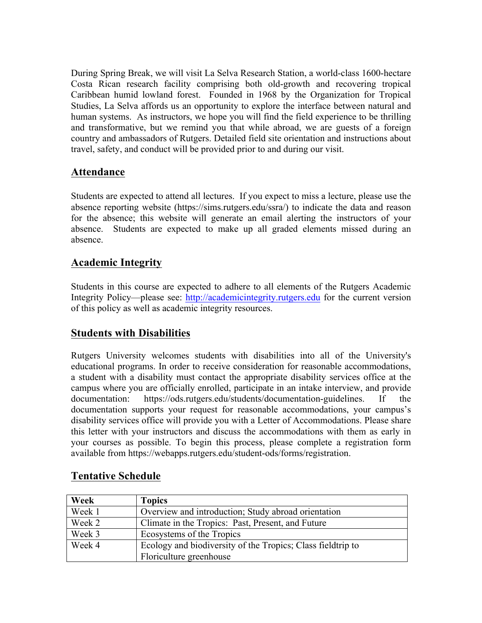During Spring Break, we will visit La Selva Research Station, a world-class 1600-hectare Costa Rican research facility comprising both old-growth and recovering tropical Caribbean humid lowland forest. Founded in 1968 by the Organization for Tropical Studies, La Selva affords us an opportunity to explore the interface between natural and human systems. As instructors, we hope you will find the field experience to be thrilling and transformative, but we remind you that while abroad, we are guests of a foreign country and ambassadors of Rutgers. Detailed field site orientation and instructions about travel, safety, and conduct will be provided prior to and during our visit.

## **Attendance**

Students are expected to attend all lectures. If you expect to miss a lecture, please use the absence reporting website (https://sims.rutgers.edu/ssra/) to indicate the data and reason for the absence; this website will generate an email alerting the instructors of your absence. Students are expected to make up all graded elements missed during an absence.

## **Academic Integrity**

Students in this course are expected to adhere to all elements of the Rutgers Academic Integrity Policy—please see: http://academicintegrity.rutgers.edu for the current version of this policy as well as academic integrity resources.

# **Students with Disabilities**

Rutgers University welcomes students with disabilities into all of the University's educational programs. In order to receive consideration for reasonable accommodations, a student with a disability must contact the appropriate disability services office at the campus where you are officially enrolled, participate in an intake interview, and provide documentation: https://ods.rutgers.edu/students/documentation-guidelines. If the documentation supports your request for reasonable accommodations, your campus's disability services office will provide you with a Letter of Accommodations. Please share this letter with your instructors and discuss the accommodations with them as early in your courses as possible. To begin this process, please complete a registration form available from https://webapps.rutgers.edu/student-ods/forms/registration.

| Week   | <b>Topics</b>                                               |
|--------|-------------------------------------------------------------|
| Week 1 | Overview and introduction; Study abroad orientation         |
| Week 2 | Climate in the Tropics: Past, Present, and Future           |
| Week 3 | Ecosystems of the Tropics                                   |
| Week 4 | Ecology and biodiversity of the Tropics; Class fieldtrip to |
|        | Floriculture greenhouse                                     |

## **Tentative Schedule**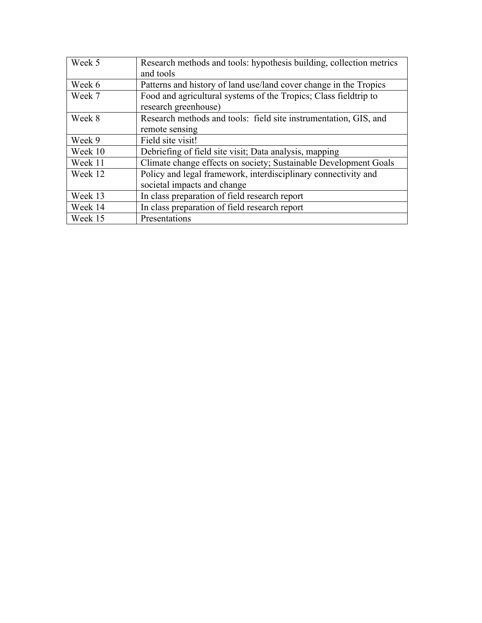| Week 5  | Research methods and tools: hypothesis building, collection metrics<br>and tools              |
|---------|-----------------------------------------------------------------------------------------------|
| Week 6  | Patterns and history of land use/land cover change in the Tropics                             |
| Week 7  | Food and agricultural systems of the Tropics; Class field trip to<br>research greenhouse)     |
| Week 8  | Research methods and tools: field site instrumentation, GIS, and<br>remote sensing            |
| Week 9  | Field site visit!                                                                             |
| Week 10 | Debriefing of field site visit; Data analysis, mapping                                        |
| Week 11 | Climate change effects on society; Sustainable Development Goals                              |
| Week 12 | Policy and legal framework, interdisciplinary connectivity and<br>societal impacts and change |
| Week 13 | In class preparation of field research report                                                 |
| Week 14 | In class preparation of field research report                                                 |
| Week 15 | Presentations                                                                                 |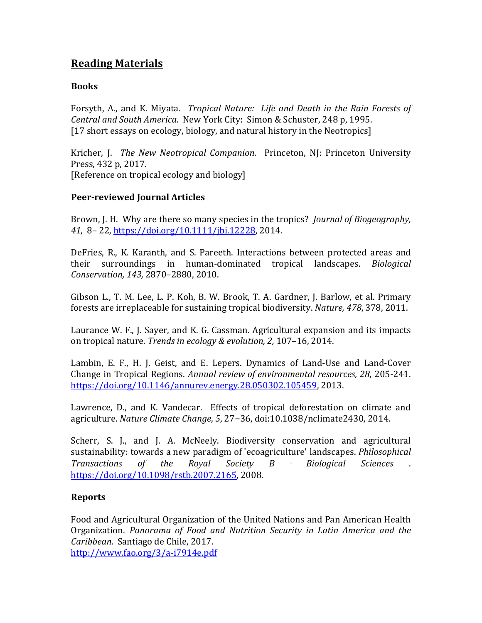# **Reading Materials**

#### **Books**

Forsyth, A., and K. Miyata. *Tropical Nature: Life and Death in the Rain Forests of Central and South America. New York City: Simon & Schuster, 248 p, 1995.* [17 short essays on ecology, biology, and natural history in the Neotropics]

Kricher, J. The New Neotropical Companion. Princeton, NJ: Princeton University Press, 432 p, 2017. [Reference on tropical ecology and biology]

#### **Peer-reviewed Journal Articles**

Brown, J. H. Why are there so many species in the tropics? *Journal of Biogeography*, 41, 8– 22, https://doi.org/10.1111/jbi.12228, 2014.

DeFries, R., K. Karanth, and S. Pareeth. Interactions between protected areas and their! surroundings! in! human\dominated! tropical! landscapes.! *Biological) Conservation, 143, 2870-2880, 2010.* 

Gibson L., T. M. Lee, L. P. Koh, B. W. Brook, T. A. Gardner, J. Barlow, et al. Primary forests are irreplaceable for sustaining tropical biodiversity. *Nature, 478*, 378, 2011.

Laurance W. F., J. Sayer, and K. G. Cassman. Agricultural expansion and its impacts on tropical nature. *Trends in ecology & evolution, 2,* 107–16, 2014.

Lambin, E. F., H. J. Geist, and E. Lepers. Dynamics of Land-Use and Land-Cover Change in Tropical Regions. *Annual review of environmental resources, 28, 205-241.* https://doi.org/10.1146/annurev.energy.28.050302.105459, 2013.

Lawrence, D., and K. Vandecar. Effects of tropical deforestation on climate and agriculture. *Nature Climate Change*, 5, 27-36, doi:10.1038/nclimate2430, 2014.

Scherr, S. J., and J. A. McNeely. Biodiversity conservation and agricultural sustainability: towards a new paradigm of 'ecoagriculture' landscapes. *Philosophical Transactions) of) the) Royal) Society) B Biological) Sciences* .! https://doi.org/10.1098/rstb.2007.2165, 2008.

#### **Reports**

Food and Agricultural Organization of the United Nations and Pan American Health Organization.! *Panorama) of) Food) and) Nutrition) Security) in) Latin) America) and) the) Caribbean.* Santiago de Chile, 2017. http://www.fao.org/3/a-i7914e.pdf